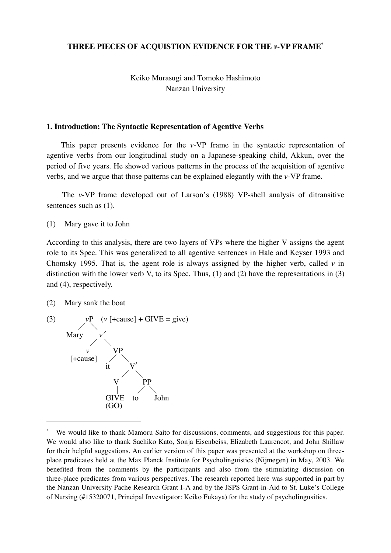### **THREE PIECES OF ACQUISTION EVIDENCE FOR THE** *v***-VP FRAME\***

# Keiko Murasugi and Tomoko Hashimoto Nanzan University

#### **1. Introduction: The Syntactic Representation of Agentive Verbs**

This paper presents evidence for the *v*-VP frame in the syntactic representation of agentive verbs from our longitudinal study on a Japanese-speaking child, Akkun, over the period of five years. He showed various patterns in the process of the acquisition of agentive verbs, and we argue that those patterns can be explained elegantly with the *v*-VP frame.

The *v*-VP frame developed out of Larson's (1988) VP-shell analysis of ditransitive sentences such as (1).

(1) Mary gave it to John

According to this analysis, there are two layers of VPs where the higher V assigns the agent role to its Spec. This was generalized to all agentive sentences in Hale and Keyser 1993 and Chomsky 1995. That is, the agent role is always assigned by the higher verb, called *v* in distinction with the lower verb V, to its Spec. Thus, (1) and (2) have the representations in (3) and (4), respectively.

(2) Mary sank the boat

 $\ddot{ }$ 



We would like to thank Mamoru Saito for discussions, comments, and suggestions for this paper. We would also like to thank Sachiko Kato, Sonja Eisenbeiss, Elizabeth Laurencot, and John Shillaw for their helpful suggestions. An earlier version of this paper was presented at the workshop on threeplace predicates held at the Max Planck Institute for Psycholinguistics (Nijmegen) in May, 2003. We benefited from the comments by the participants and also from the stimulating discussion on three-place predicates from various perspectives. The research reported here was supported in part by the Nanzan University Pache Research Grant I-A and by the JSPS Grant-in-Aid to St. Luke's College of Nursing (#15320071, Principal Investigator: Keiko Fukaya) for the study of psycholingusitics.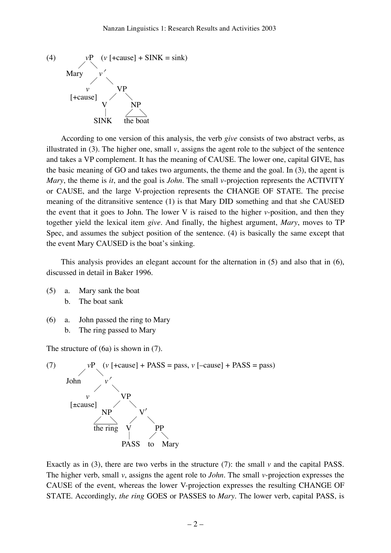

According to one version of this analysis, the verb *give* consists of two abstract verbs, as illustrated in (3). The higher one, small  $\nu$ , assigns the agent role to the subject of the sentence and takes a VP complement. It has the meaning of CAUSE. The lower one, capital GIVE, has the basic meaning of GO and takes two arguments, the theme and the goal. In (3), the agent is *Mary*, the theme is *it*, and the goal is *John*. The small *v*-projection represents the ACTIVITY or CAUSE, and the large V-projection represents the CHANGE OF STATE. The precise meaning of the ditransitive sentence (1) is that Mary DID something and that she CAUSED the event that it goes to John. The lower V is raised to the higher *v*-position, and then they together yield the lexical item *give*. And finally, the highest argument, *Mary*, moves to TP Spec, and assumes the subject position of the sentence. (4) is basically the same except that the event Mary CAUSED is the boat's sinking.

This analysis provides an elegant account for the alternation in (5) and also that in (6), discussed in detail in Baker 1996.

- (5) a. Mary sank the boat b. The boat sank
- (6) a. John passed the ring to Mary b. The ring passed to Mary

The structure of (6a) is shown in (7).



Exactly as in (3), there are two verbs in the structure (7): the small *v* and the capital PASS. The higher verb, small *v*, assigns the agent role to *John*. The small *v*-projection expresses the CAUSE of the event, whereas the lower V-projection expresses the resulting CHANGE OF STATE. Accordingly, *the ring* GOES or PASSES to *Mary*. The lower verb, capital PASS, is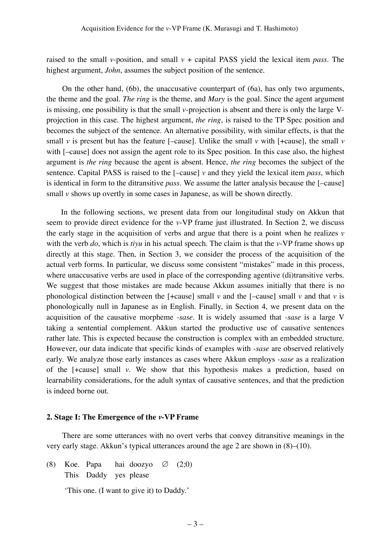raised to the small *v*-position, and small  $v +$  capital PASS yield the lexical item *pass*. The highest argument, *John*, assumes the subject position of the sentence.

On the other hand, (6b), the unaccusative counterpart of (6a), has only two arguments, the theme and the goal. *The ring* is the theme, and *Mary* is the goal. Since the agent argument is missing, one possibility is that the small *v*-projection is absent and there is only the large Vprojection in this case. The highest argument, *the ring*, is raised to the TP Spec position and becomes the subject of the sentence. An alternative possibility, with similar effects, is that the small *v* is present but has the feature [-cause]. Unlike the small *v* with [+cause], the small *v* with  $[-cause]$  does not assign the agent role to its Spec position. In this case also, the highest argument is *the ring* because the agent is absent. Hence, *the ring* becomes the subject of the sentence. Capital PASS is raised to the [–cause] *v* and they yield the lexical item *pass*, which is identical in form to the ditransitive *pass*. We assume the latter analysis because the [–cause] small *v* shows up overtly in some cases in Japanese, as will be shown directly.

In the following sections, we present data from our longitudinal study on Akkun that seem to provide direct evidence for the *v*-VP frame just illustrated. In Section 2, we discuss the early stage in the acquisition of verbs and argue that there is a point when he realizes *v* with the verb *do*, which is *tiyu* in his actual speech. The claim is that the *v*-VP frame shows up directly at this stage. Then, in Section 3, we consider the process of the acquisition of the actual verb forms. In particular, we discuss some consistent "mistakes" made in this process, where unaccusative verbs are used in place of the corresponding agentive (di)transitive verbs. We suggest that those mistakes are made because Akkun assumes initially that there is no phonological distinction between the  $[+cause]$  small *v* and the  $[-cause]$  small *v* and that *v* is phonologically null in Japanese as in English. Finally, in Section 4, we present data on the acquisition of the causative morpheme *-sase*. It is widely assumed that *-sase* is a large V taking a sentential complement. Akkun started the productive use of causative sentences rather late. This is expected because the construction is complex with an embedded structure. However, our data indicate that specific kinds of examples with *-sase* are observed relatively early. We analyze those early instances as cases where Akkun employs *-sase* as a realization of the [+cause] small *v*. We show that this hypothesis makes a prediction, based on learnability considerations, for the adult syntax of causative sentences, and that the prediction is indeed borne out.

#### **2. Stage I: The Emergence of the** *v***-VP Frame**

There are some utterances with no overt verbs that convey ditransitive meanings in the very early stage. Akkun's typical utterances around the age 2 are shown in (8)–(10).

(8) Koe. Papa hai doozyo  $\varnothing$  (2;0) This Daddy yes please

'This one. (I want to give it) to Daddy.'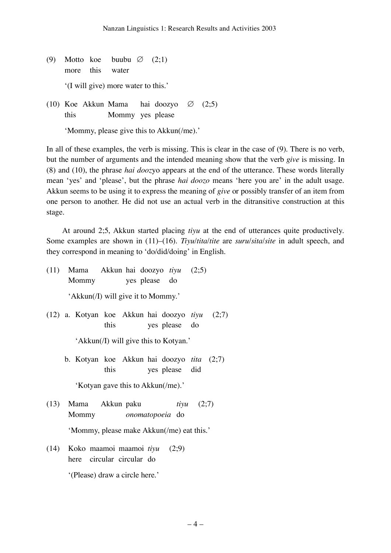- (9) Motto koe buubu  $\varnothing$  (2:1) more this water '(I will give) more water to this.'
- (10) Koe Akkun Mama hai doozyo ∅ (2;5) this Mommy yes please

'Mommy, please give this to Akkun(/me).'

In all of these examples, the verb is missing. This is clear in the case of (9). There is no verb, but the number of arguments and the intended meaning show that the verb *give* is missing. In (8) and (10), the phrase *hai dooz*yo appears at the end of the utterance. These words literally mean 'yes' and 'please', but the phrase *hai doozo* means 'here you are' in the adult usage. Akkun seems to be using it to express the meaning of *give* or possibly transfer of an item from one person to another. He did not use an actual verb in the ditransitive construction at this stage.

At around 2;5, Akkun started placing *tiyu* at the end of utterances quite productively. Some examples are shown in (11)–(16). *Tiyu*/*tita*/*tite* are *suru*/*sita*/*site* in adult speech, and they correspond in meaning to 'do/did/doing' in English.

- (11) Mama Akkun hai doozyo *tiyu* (2;5) Mommy yes please do 'Akkun(/I) will give it to Mommy.'
- (12) a. Kotyan koe Akkun hai doozyo *tiyu* (2;7) this yes please do

'Akkun(/I) will give this to Kotyan.'

b. Kotyan koe Akkun hai doozyo *tita* (2;7) this yes please did

'Kotyan gave this to Akkun(/me).'

- (13) Mama Akkun paku *tiyu* (2;7) Mommy *onomatopoeia* do 'Mommy, please make Akkun(/me) eat this.'
- (14) Koko maamoi maamoi *tiyu* (2;9) here circular circular do

'(Please) draw a circle here.'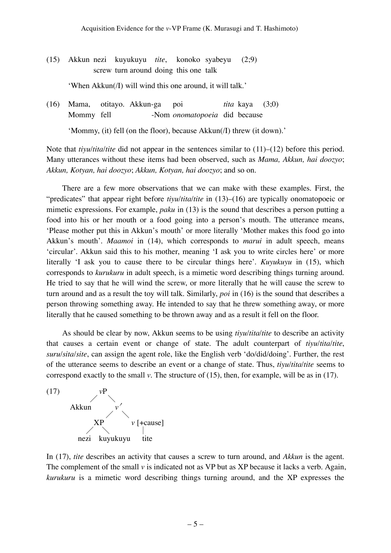|  | (15) Akkun nezi kuyukuyu <i>tite</i> , konoko syabeyu             |  | (2:9) |
|--|-------------------------------------------------------------------|--|-------|
|  | screw turn around doing this one talk                             |  |       |
|  | 'When Akkun( <i>I</i> ) will wind this one around, it will talk.' |  |       |

(16) Mama, otitayo. Akkun-ga poi *tita* kaya (3;0) Mommy fell -Nom *onomatopoeia* did because

'Mommy, (it) fell (on the floor), because Akkun(/I) threw (it down).'

Note that *tiyu*/*tita*/*tite* did not appear in the sentences similar to (11)–(12) before this period. Many utterances without these items had been observed, such as *Mama, Akkun, hai doozyo*; *Akkun, Kotyan, hai doozyo*; *Akkun, Kotyan, hai doozyo*; and so on.

There are a few more observations that we can make with these examples. First, the "predicates" that appear right before *tiyu*/*tita*/*tite* in (13)–(16) are typically onomatopoeic or mimetic expressions. For example, *paku* in (13) is the sound that describes a person putting a food into his or her mouth or a food going into a person's mouth. The utterance means, 'Please mother put this in Akkun's mouth' or more literally 'Mother makes this food go into Akkun's mouth'. *Maamoi* in (14), which corresponds to *marui* in adult speech, means 'circular'. Akkun said this to his mother, meaning 'I ask you to write circles here' or more literally 'I ask you to cause there to be circular things here'. *Kuyukuyu* in (15), which corresponds to *kurukuru* in adult speech, is a mimetic word describing things turning around. He tried to say that he will wind the screw, or more literally that he will cause the screw to turn around and as a result the toy will talk. Similarly, *poi* in (16) is the sound that describes a person throwing something away. He intended to say that he threw something away, or more literally that he caused something to be thrown away and as a result it fell on the floor.

As should be clear by now, Akkun seems to be using *tiyu*/*tita*/*tite* to describe an activity that causes a certain event or change of state. The adult counterpart of *tiyu*/*tita*/*tite*, *suru*/*sita*/*site*, can assign the agent role, like the English verb 'do/did/doing'. Further, the rest of the utterance seems to describe an event or a change of state. Thus, *tiyu*/*tita*/*tite* seems to correspond exactly to the small *v*. The structure of (15), then, for example, will be as in (17).



In (17), *tite* describes an activity that causes a screw to turn around, and *Akkun* is the agent. The complement of the small *v* is indicated not as VP but as XP because it lacks a verb. Again, *kurukuru* is a mimetic word describing things turning around, and the XP expresses the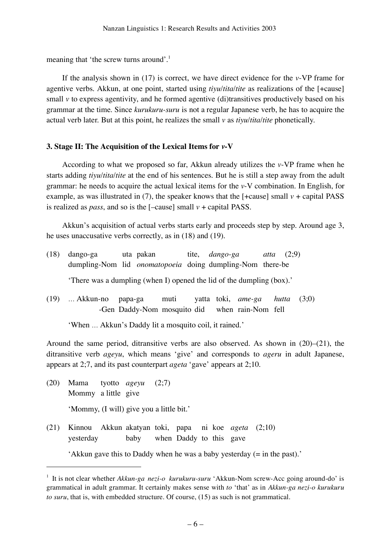meaning that 'the screw turns around'.<sup>1</sup>

If the analysis shown in (17) is correct, we have direct evidence for the *v*-VP frame for agentive verbs. Akkun, at one point, started using *tiyu*/*tita*/*tite* as realizations of the [+cause] small *v* to express agentivity, and he formed agentive (di)transitives productively based on his grammar at the time. Since *kurukuru-suru* is not a regular Japanese verb, he has to acquire the actual verb later. But at this point, he realizes the small *v* as *tiyu*/*tita*/*tite* phonetically.

## **3. Stage II: The Acquisition of the Lexical Items for** *v***-V**

According to what we proposed so far, Akkun already utilizes the *v*-VP frame when he starts adding *tiyu*/*tita*/*tite* at the end of his sentences. But he is still a step away from the adult grammar: he needs to acquire the actual lexical items for the *v*-V combination. In English, for example, as was illustrated in  $(7)$ , the speaker knows that the  $[+cause]$  small  $v + capital$  PASS is realized as *pass*, and so is the  $[-cause]$  small  $v + ca$  poital PASS.

Akkun's acquisition of actual verbs starts early and proceeds step by step. Around age 3, he uses unaccusative verbs correctly, as in (18) and (19).

| (18) | dango-ga                                                              | uta pakan tite, <i>dango-ga</i>                |  |  | atta $(2,9)$ |  |
|------|-----------------------------------------------------------------------|------------------------------------------------|--|--|--------------|--|
|      | dumpling-Nom lid <i>onomatopoeia</i> doing dumpling-Nom there-be      |                                                |  |  |              |  |
|      | 'There was a dumpling (when I) opened the lid of the dumpling (box).' |                                                |  |  |              |  |
|      | $(19)$ Akkun-no papa-ga muti yatta toki, <i>ame-ga hutta</i> $(3,0)$  |                                                |  |  |              |  |
|      |                                                                       | -Gen Daddy-Nom mosquito did when rain-Nom fell |  |  |              |  |

'When … Akkun's Daddy lit a mosquito coil, it rained.'

Around the same period, ditransitive verbs are also observed. As shown in (20)–(21), the ditransitive verb *ageyu*, which means 'give' and corresponds to *ageru* in adult Japanese, appears at 2;7, and its past counterpart *ageta* 'gave' appears at 2;10.

(20) Mama tyotto *ageyu* (2;7) Mommy a little give 'Mommy, (I will) give you a little bit.'

 $\ddot{ }$ 

(21) Kinnou Akkun akatyan toki, papa ni koe *ageta* (2;10) yesterday baby when Daddy to this gave

<sup>&#</sup>x27;Akkun gave this to Daddy when he was a baby yesterday (= in the past).'

<sup>1</sup> It is not clear whether *Akkun-ga nezi-o kurukuru-suru* 'Akkun-Nom screw-Acc going around-do' is grammatical in adult grammar. It certainly makes sense with *to* 'that' as in *Akkun-ga nezi-o kurukuru to suru*, that is, with embedded structure. Of course, (15) as such is not grammatical.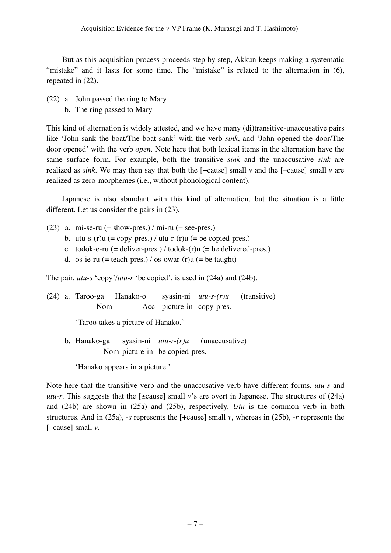But as this acquisition process proceeds step by step, Akkun keeps making a systematic "mistake" and it lasts for some time. The "mistake" is related to the alternation in (6), repeated in (22).

(22) a. John passed the ring to Mary b. The ring passed to Mary

This kind of alternation is widely attested, and we have many (di)transitive-unaccusative pairs like 'John sank the boat/The boat sank' with the verb *sink*, and 'John opened the door/The door opened' with the verb *open*. Note here that both lexical items in the alternation have the same surface form. For example, both the transitive *sink* and the unaccusative *sink* are realized as *sink*. We may then say that both the  $\lceil + \text{cause} \rceil$  small *v* and the  $\lceil - \text{cause} \rceil$  small *v* are realized as zero-morphemes (i.e., without phonological content).

Japanese is also abundant with this kind of alternation, but the situation is a little different. Let us consider the pairs in (23).

- (23) a. mi-se-ru  $(=$  show-pres.) / mi-ru  $(=$  see-pres.)
	- b. utu-s- $(r)u$  (= copy-pres.) / utu-r- $(r)u$  (= be copied-pres.)
	- c. todok-e-ru  $(=$  deliver-pres.) / todok- $(r)$ u  $(=$  be delivered-pres.)
	- d. os-ie-ru (= teach-pres.) / os-owar- $(r)u$  (= be taught)

The pair, *utu-s* 'copy'/*utu-r* 'be copied', is used in (24a) and (24b).

(24) a. Taroo-ga Hanako-o syasin-ni *utu-s-(r)u* (transitive) -Nom -Acc picture-in copy-pres.

'Taroo takes a picture of Hanako.'

b. Hanako-ga syasin-ni *utu-r-(r)u* (unaccusative) -Nom picture-in be copied-pres.

'Hanako appears in a picture.'

Note here that the transitive verb and the unaccusative verb have different forms, *utu-s* and *utu-r*. This suggests that the [±cause] small *v*'s are overt in Japanese. The structures of (24a) and (24b) are shown in (25a) and (25b), respectively. *Utu* is the common verb in both structures. And in (25a), -*s* represents the [+cause] small *v*, whereas in (25b), -*r* represents the [–cause] small *v*.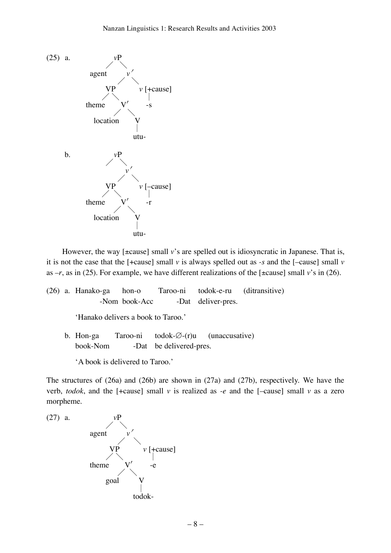

However, the way [ $\pm$ cause] small *v*'s are spelled out is idiosyncratic in Japanese. That is, it is not the case that the [+cause] small *v* is always spelled out as *-s* and the [–cause] small *v* as  $-r$ , as in (25). For example, we have different realizations of the [ $\pm$ cause] small *v*'s in (26).

- (26) a. Hanako-ga hon-o Taroo-ni todok-e-ru (ditransitive) -Nom book-Acc -Dat deliver-pres. 'Hanako delivers a book to Taroo.'
	- b. Hon-ga Taroo-ni todok-∅-(r)u (unaccusative) book-Nom -Dat be delivered-pres.

'A book is delivered to Taroo.'

The structures of (26a) and (26b) are shown in (27a) and (27b), respectively. We have the verb, *todok*, and the [+cause] small *v* is realized as *-e* and the [–cause] small *v* as a zero morpheme.

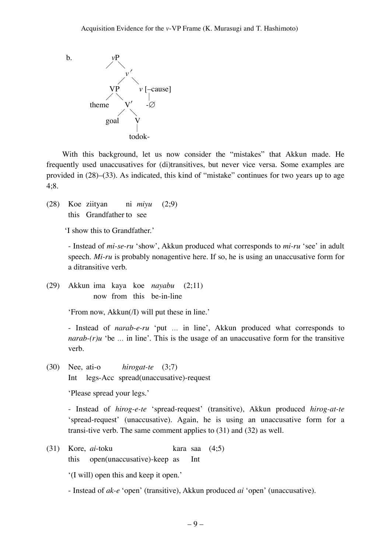b.  $vP$  $\diagup\diagdown$ *v* ′ $\diagup\diagdown$  $\nu$  [–cause]  $\angle$  | theme  $\diagup\diagdown$ goal  $\perp$ todok-

With this background, let us now consider the "mistakes" that Akkun made. He frequently used unaccusatives for (di)transitives, but never vice versa. Some examples are provided in (28)–(33). As indicated, this kind of "mistake" continues for two years up to age 4;8.

(28) Koe ziityan ni *miyu* (2;9) this Grandfather to see

'I show this to Grandfather.'

- Instead of *mi-se-ru* 'show', Akkun produced what corresponds to *mi-ru* 'see' in adult speech. *Mi-ru* is probably nonagentive here. If so, he is using an unaccusative form for a ditransitive verb.

(29) Akkun ima kaya koe *nayabu* (2;11) now from this be-in-line

'From now, Akkun(/I) will put these in line.'

- Instead of *narab-e-ru* 'put … in line', Akkun produced what corresponds to *narab-* $(r)u$  'be ... in line'. This is the usage of an unaccusative form for the transitive verb.

(30) Nee, ati-o *hirogat-te* (3;7) Int legs-Acc spread(unaccusative)-request

'Please spread your legs.'

- Instead of *hirog-e-te* 'spread-request' (transitive), Akkun produced *hirog-at-te* 'spread-request' (unaccusative). Again, he is using an unaccusative form for a transi-tive verb. The same comment applies to (31) and (32) as well.

(31) Kore, *ai*-toku kara saa (4;5) this open(unaccusative)-keep as Int

'(I will) open this and keep it open.'

- Instead of *ak-e* 'open' (transitive), Akkun produced *ai* 'open' (unaccusative).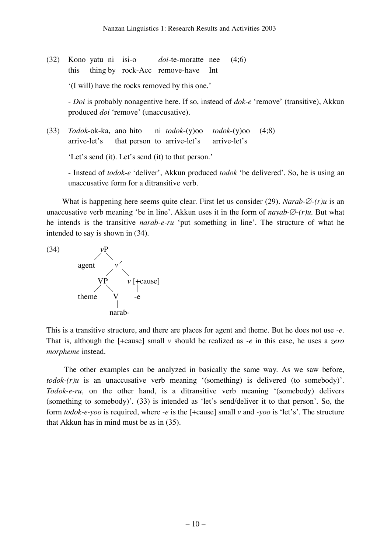(32) Kono yatu ni isi-o *doi*-te-moratte nee (4;6) this thing by rock-Acc remove-have Int

'(I will) have the rocks removed by this one.'

- *Doi* is probably nonagentive here. If so, instead of *dok-e* 'remove' (transitive), Akkun produced *doi* 'remove' (unaccusative).

(33) *Todok*-ok-ka, ano hito ni *todok*-(y)oo *todok*-(y)oo (4;8) arrive-let's that person to arrive-let's arrive-let's

'Let's send (it). Let's send (it) to that person.'

- Instead of *todok-e* 'deliver', Akkun produced *todok* 'be delivered'. So, he is using an unaccusative form for a ditransitive verb.

What is happening here seems quite clear. First let us consider (29). *Narab*-∅*-(r)u* is an unaccusative verb meaning 'be in line'. Akkun uses it in the form of *nayab-*∅-*(r)u*. But what he intends is the transitive *narab-e-ru* 'put something in line'. The structure of what he intended to say is shown in (34).



This is a transitive structure, and there are places for agent and theme. But he does not use *-e*. That is, although the [+cause] small *v* should be realized as *-e* in this case, he uses a *zero morpheme* instead.

The other examples can be analyzed in basically the same way. As we saw before, *todok-(r)u* is an unaccusative verb meaning '(something) is delivered (to somebody)'. *Todok-e-ru*, on the other hand, is a ditransitive verb meaning '(somebody) delivers (something to somebody)'. (33) is intended as 'let's send/deliver it to that person'. So, the form *todok-e-yoo* is required, where *-e* is the [+cause] small *v* and *-yoo* is 'let's'. The structure that Akkun has in mind must be as in (35).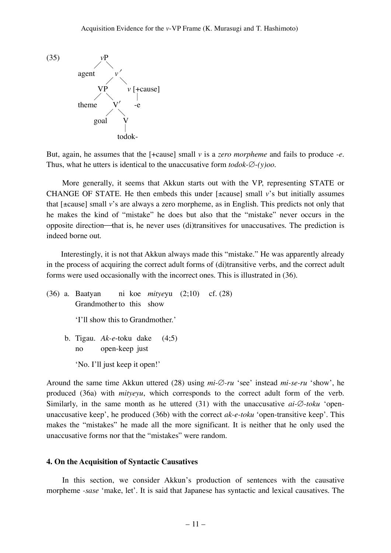

But, again, he assumes that the [+cause] small *v* is a *zero morpheme* and fails to produce *-e*. Thus, what he utters is identical to the unaccusative form *todok*-∅-*(y)oo*.

More generally, it seems that Akkun starts out with the VP, representing STATE or CHANGE OF STATE. He then embeds this under [±cause] small *v*'s but initially assumes that [±cause] small *v*'s are always a zero morpheme, as in English. This predicts not only that he makes the kind of "mistake" he does but also that the "mistake" never occurs in the opposite direction—that is, he never uses (di)transitives for unaccusatives. The prediction is indeed borne out.

Interestingly, it is not that Akkun always made this "mistake." He was apparently already in the process of acquiring the correct adult forms of (di)transitive verbs, and the correct adult forms were used occasionally with the incorrect ones. This is illustrated in (36).

(36) a. Baatyan ni koe *mitye*yu (2;10) cf. (28) Grandmother to this show 'I'll show this to Grandmother.' b. Tigau. *Ak-e*-toku dake (4;5) no open-keep just 'No. I'll just keep it open!'

Around the same time Akkun uttered (28) using *mi*-∅*-ru* 'see' instead *mi-se-ru* 'show', he produced (36a) with *mityeyu*, which corresponds to the correct adult form of the verb. Similarly, in the same month as he uttered (31) with the unaccusative *ai*-∅-*toku* 'openunaccusative keep', he produced (36b) with the correct *ak-e-toku* 'open-transitive keep'. This makes the "mistakes" he made all the more significant. It is neither that he only used the unaccusative forms nor that the "mistakes" were random.

#### **4. On the Acquisition of Syntactic Causatives**

In this section, we consider Akkun's production of sentences with the causative morpheme *-sase* 'make, let'. It is said that Japanese has syntactic and lexical causatives. The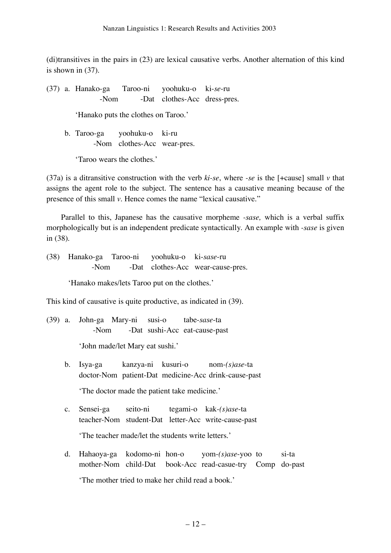(di)transitives in the pairs in (23) are lexical causative verbs. Another alternation of this kind is shown in (37).

(37) a. Hanako-ga Taroo-ni yoohuku-o ki-*se*-ru -Nom -Dat clothes-Acc dress-pres. 'Hanako puts the clothes on Taroo.'

b. Taroo-ga yoohuku-o ki-ru -Nom clothes-Acc wear-pres.

'Taroo wears the clothes.'

(37a) is a ditransitive construction with the verb  $ki$ -se, where  $-se$  is the  $[+cause]$  small  $\nu$  that assigns the agent role to the subject. The sentence has a causative meaning because of the presence of this small *v*. Hence comes the name "lexical causative."

Parallel to this, Japanese has the causative morpheme *-sase,* which is a verbal suffix morphologically but is an independent predicate syntactically. An example with *-sase* is given in (38).

(38) Hanako-ga Taroo-ni yoohuku-o ki-*sase*-ru -Nom -Dat clothes-Acc wear-cause-pres.

'Hanako makes/lets Taroo put on the clothes.'

This kind of causative is quite productive, as indicated in (39).

(39) a. John-ga Mary-ni susi-o tabe-*sase*-ta -Nom -Dat sushi-Acc eat-cause-past

'John made/let Mary eat sushi.'

- b. Isya-ga kanzya-ni kusuri-o nom*-(s)ase*-ta doctor-Nom patient-Dat medicine-Acc drink-cause-past 'The doctor made the patient take medicine.'
- c. Sensei-ga seito-ni tegami-o kak*-(s)ase*-ta teacher-Nom student-Dat letter-Acc write-cause-past 'The teacher made/let the students write letters.'
- d. Hahaoya-ga kodomo-ni hon-o yom-*(s)ase*-yoo to si-ta mother-Nom child-Dat book-Acc read-casue-try Comp do-past 'The mother tried to make her child read a book.'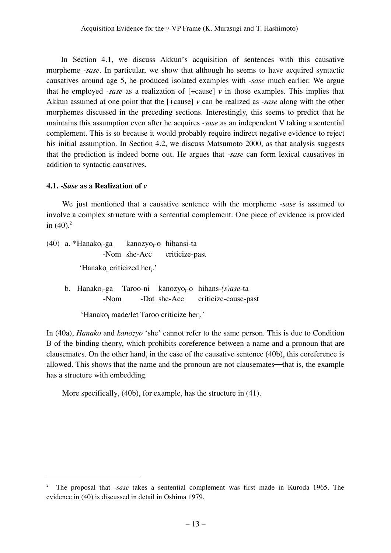In Section 4.1, we discuss Akkun's acquisition of sentences with this causative morpheme *-sase*. In particular, we show that although he seems to have acquired syntactic causatives around age 5, he produced isolated examples with *-sase* much earlier. We argue that he employed *-sase* as a realization of [+cause] *v* in those examples. This implies that Akkun assumed at one point that the [+cause] *v* can be realized as *-sase* along with the other morphemes discussed in the preceding sections. Interestingly, this seems to predict that he maintains this assumption even after he acquires *-sase* as an independent V taking a sentential complement. This is so because it would probably require indirect negative evidence to reject his initial assumption. In Section 4.2, we discuss Matsumoto 2000, as that analysis suggests that the prediction is indeed borne out. He argues that *-sase* can form lexical causatives in addition to syntactic causatives.

## **4.1.** *-Sase* **as a Realization of** *v*

 $\ddot{ }$ 

We just mentioned that a causative sentence with the morpheme *-sase* is assumed to involve a complex structure with a sentential complement. One piece of evidence is provided in  $(40).<sup>2</sup>$ 

- $(40)$  a. \*Hanako<sub>i</sub>-ga -ga kanozyo<sub>i</sub>-o hihansi-ta -Nom she-Acc criticize-past 'Hanako<sub>i</sub> criticized her $\cdot$ .'
	- $b.$  Hanako $-$ ga -ga Taroo-ni kanozyo<sub>i</sub>-o hihans-(*s)ase*-ta -Nom -Dat she-Acc criticize-cause-past

'Hanako<sub>i</sub> made/let Taroo criticize her $_i$ .'

In (40a), *Hanako* and *kanozyo* 'she' cannot refer to the same person. This is due to Condition B of the binding theory, which prohibits coreference between a name and a pronoun that are clausemates. On the other hand, in the case of the causative sentence (40b), this coreference is allowed. This shows that the name and the pronoun are not clausemates—that is, the example has a structure with embedding.

More specifically, (40b), for example, has the structure in (41).

<sup>2</sup> The proposal that *-sase* takes a sentential complement was first made in Kuroda 1965. The evidence in (40) is discussed in detail in Oshima 1979.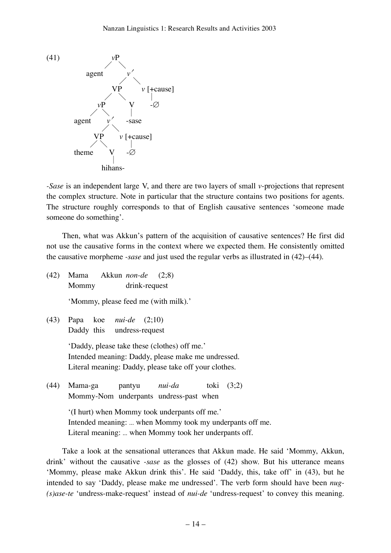

*-Sase* is an independent large V, and there are two layers of small *v*-projections that represent the complex structure. Note in particular that the structure contains two positions for agents. The structure roughly corresponds to that of English causative sentences 'someone made someone do something'.

Then, what was Akkun's pattern of the acquisition of causative sentences? He first did not use the causative forms in the context where we expected them. He consistently omitted the causative morpheme *-sase* and just used the regular verbs as illustrated in (42)–(44).

(42) Mama Akkun *non-de* (2;8) Mommy drink-request

'Mommy, please feed me (with milk).'

(43) Papa koe *nui-de* (2;10) Daddy this undress-request

> 'Daddy, please take these (clothes) off me.' Intended meaning: Daddy, please make me undressed. Literal meaning: Daddy, please take off your clothes.

(44) Mama-ga pantyu *nui-da* toki (3;2) Mommy-Nom underpants undress-past when

> '(I hurt) when Mommy took underpants off me.' Intended meaning: ... when Mommy took my underpants off me. Literal meaning: ... when Mommy took her underpants off.

Take a look at the sensational utterances that Akkun made. He said 'Mommy, Akkun, drink' without the causative *-sase* as the glosses of (42) show. But his utterance means 'Mommy, please make Akkun drink this'. He said 'Daddy, this, take off' in (43), but he intended to say 'Daddy, please make me undressed'. The verb form should have been *nug- (s)ase-te* 'undress-make-request' instead of *nui-de* 'undress-request' to convey this meaning.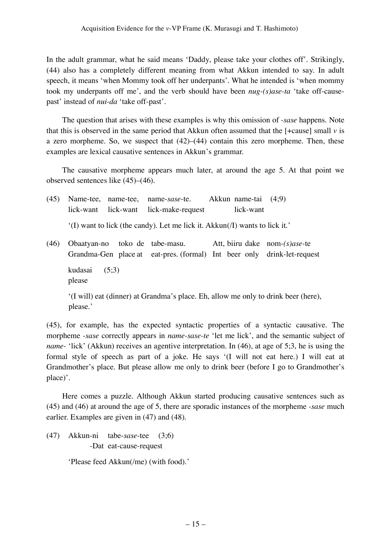In the adult grammar, what he said means 'Daddy, please take your clothes off'. Strikingly, (44) also has a completely different meaning from what Akkun intended to say. In adult speech, it means 'when Mommy took off her underpants'. What he intended is 'when mommy took my underpants off me', and the verb should have been *nug-(s)ase-ta* 'take off-causepast' instead of *nui-da* 'take off-past'.

The question that arises with these examples is why this omission of *-sase* happens. Note that this is observed in the same period that Akkun often assumed that the  $[+c_0]$  small  $\nu$  is a zero morpheme. So, we suspect that  $(42)$ – $(44)$  contain this zero morpheme. Then, these examples are lexical causative sentences in Akkun's grammar.

The causative morpheme appears much later, at around the age 5. At that point we observed sentences like (45)–(46).

| (45) |  | Name-tee, name-tee, name-sase-te. Akkun name-tai (4;9)                                                                                      |           |  |
|------|--|---------------------------------------------------------------------------------------------------------------------------------------------|-----------|--|
|      |  | lick-want lick-want lick-make-request                                                                                                       | lick-want |  |
|      |  | $'(I)$ want to lick (the candy). Let me lick it. Akkun( <i>I</i> ) wants to lick it.'                                                       |           |  |
| (46) |  | Obaatyan-no toko de tabe-masu. Att, biiru dake nom- $(s)$ ase-te<br>Grandma-Gen place at eat-pres. (formal) Int beer only drink-let-request |           |  |

kudasai (5;3) please

'(I will) eat (dinner) at Grandma's place. Eh, allow me only to drink beer (here), please.'

(45), for example, has the expected syntactic properties of a syntactic causative. The morpheme *-sase* correctly appears in *name-sase-te* 'let me lick', and the semantic subject of *name-* 'lick' (Akkun) receives an agentive interpretation. In (46), at age of 5;3, he is using the formal style of speech as part of a joke. He says '(I will not eat here.) I will eat at Grandmother's place. But please allow me only to drink beer (before I go to Grandmother's place)'.

Here comes a puzzle. Although Akkun started producing causative sentences such as (45) and (46) at around the age of 5, there are sporadic instances of the morpheme *-sase* much earlier. Examples are given in (47) and (48).

(47) Akkun-ni tabe-*sase*-tee (3;6) -Dat eat-cause-request

'Please feed Akkun(/me) (with food).'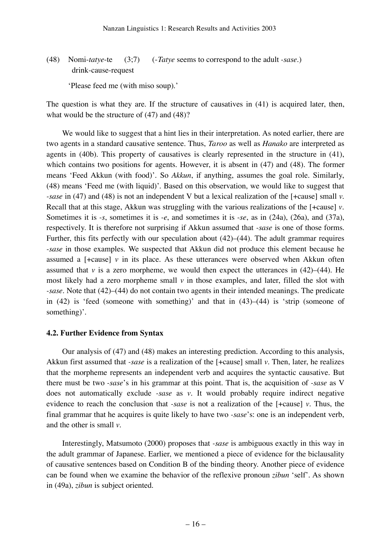(48) Nomi-*tatye*-te (3;7) (-*Tatye* seems to correspond to the adult *-sase*.) drink-cause-request

'Please feed me (with miso soup).'

The question is what they are. If the structure of causatives in (41) is acquired later, then, what would be the structure of (47) and (48)?

We would like to suggest that a hint lies in their interpretation. As noted earlier, there are two agents in a standard causative sentence. Thus, *Taroo* as well as *Hanako* are interpreted as agents in (40b). This property of causatives is clearly represented in the structure in (41), which contains two positions for agents. However, it is absent in (47) and (48). The former means 'Feed Akkun (with food)'. So *Akkun*, if anything, assumes the goal role. Similarly, (48) means 'Feed me (with liquid)'. Based on this observation, we would like to suggest that *-sase* in (47) and (48) is not an independent V but a lexical realization of the [+cause] small *v*. Recall that at this stage, Akkun was struggling with the various realizations of the [+cause] *v*. Sometimes it is *-s*, sometimes it is *-e*, and sometimes it is *-se*, as in (24a), (26a), and (37a), respectively. It is therefore not surprising if Akkun assumed that *-sase* is one of those forms. Further, this fits perfectly with our speculation about  $(42)$ – $(44)$ . The adult grammar requires *-sase* in those examples. We suspected that Akkun did not produce this element because he assumed a  $[-\text{cause}]$  *v* in its place. As these utterances were observed when Akkun often assumed that  $\nu$  is a zero morpheme, we would then expect the utterances in  $(42)$ – $(44)$ . He most likely had a zero morpheme small *v* in those examples, and later, filled the slot with *-sase.* Note that (42)–(44) do not contain two agents in their intended meanings. The predicate in (42) is 'feed (someone with something)' and that in (43)–(44) is 'strip (someone of something)'.

### **4.2. Further Evidence from Syntax**

Our analysis of (47) and (48) makes an interesting prediction. According to this analysis, Akkun first assumed that *-sase* is a realization of the [+cause] small *v*. Then, later, he realizes that the morpheme represents an independent verb and acquires the syntactic causative. But there must be two *-sase*'s in his grammar at this point. That is, the acquisition of *-sase* as V does not automatically exclude *-sase* as *v*. It would probably require indirect negative evidence to reach the conclusion that *-sase* is not a realization of the [+cause] *v*. Thus, the final grammar that he acquires is quite likely to have two *-sase*'s: one is an independent verb, and the other is small *v*.

Interestingly, Matsumoto (2000) proposes that *-sase* is ambiguous exactly in this way in the adult grammar of Japanese. Earlier, we mentioned a piece of evidence for the biclausality of causative sentences based on Condition B of the binding theory. Another piece of evidence can be found when we examine the behavior of the reflexive pronoun *zibun* 'self'. As shown in (49a), *zibun* is subject oriented.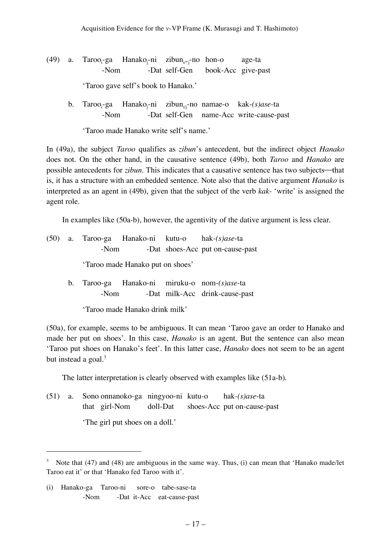- $(49)$  a. Taroo<sub>i</sub>-ga -ga Hanako<sub>j</sub>-ni zibun<sub>i/\*j</sub>-no hon-o age-ta -Nom -Dat self-Gen book-Acc give-past 'Taroo gave self's book to Hanako.'
	- b. Taroo<sub>i</sub>-ga -ga Hanako<sub>j</sub>-ni zibun<sub>ij</sub>-no-namae-o kak-(s)ase-ta -Nom -Dat self-Gen name-Acc write-cause-past

'Taroo made Hanako write self's name.'

In (49a), the subject *Taroo* qualifies as *zibun*'s antecedent, but the indirect object *Hanako* does not. On the other hand, in the causative sentence (49b), both *Taroo* and *Hanako* are possible antecedents for *zibun*. This indicates that a causative sentence has two subjects—that is, it has a structure with an embedded sentence. Note also that the dative argument *Hanako* is interpreted as an agent in (49b), given that the subject of the verb *kak-* 'write' is assigned the agent role.

In examples like (50a-b), however, the agentivity of the dative argument is less clear.

|  |                                  |      |  | $(50)$ a. Taroo-ga Hanako-ni kutu-o hak- $(s)$ ase-ta                          |  |  |  |
|--|----------------------------------|------|--|--------------------------------------------------------------------------------|--|--|--|
|  | -Nom                             |      |  | -Dat shoes-Acc put on-cause-past                                               |  |  |  |
|  | 'Taroo made Hanako put on shoes' |      |  |                                                                                |  |  |  |
|  |                                  | -Nom |  | b. Taroo-ga Hanako-ni miruku-o nom-(s)ase-ta<br>-Dat milk-Acc drink-cause-past |  |  |  |
|  | 'Taroo made Hanako drink milk'   |      |  |                                                                                |  |  |  |

(50a), for example, seems to be ambiguous. It can mean 'Taroo gave an order to Hanako and made her put on shoes'. In this case, *Hanako* is an agent. But the sentence can also mean 'Taroo put shoes on Hanako's feet'. In this latter case, *Hanako* does not seem to be an agent but instead a goal.<sup>3</sup>

The latter interpretation is clearly observed with examples like (51a-b).

(51) a. Sono onnanoko-ga ningyoo-ni kutu-o hak*-(s)ase*-ta that girl-Nom doll-Dat shoes-Acc put on-cause-past 'The girl put shoes on a doll.'

 $\ddot{ }$ 

 $3$  Note that (47) and (48) are ambiguous in the same way. Thus, (i) can mean that 'Hanako made/let Taroo eat it' or that 'Hanako fed Taroo with it'.

<sup>(</sup>i) Hanako-ga Taroo-ni sore-o tabe-sase-ta -Nom -Dat it-Acc eat-cause-past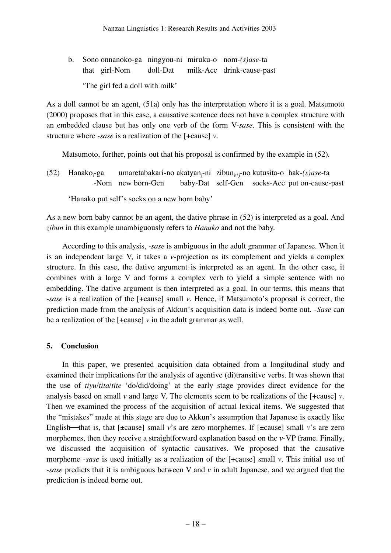b. Sono onnanoko-ga ningyou-ni miruku-o nom-*(s)ase*-ta that girl-Nom doll-Dat milk-Acc drink-cause-past 'The girl fed a doll with milk'

As a doll cannot be an agent, (51a) only has the interpretation where it is a goal. Matsumoto (2000) proposes that in this case, a causative sentence does not have a complex structure with an embedded clause but has only one verb of the form V-*sase*. This is consistent with the structure where *-sase* is a realization of the [+cause] *v*.

Matsumoto, further, points out that his proposal is confirmed by the example in (52).

 $(52)$  Hanako $-$ ga -ga umaretabakari-no akatyan<sub>j</sub>-ni zibun<sub>i/\*j</sub>-no kutusita-o hak-*(s)ase-*ta -Nom new born-Gen baby-Dat self-Gen socks-Acc put on-cause-past

'Hanako put self's socks on a new born baby'

As a new born baby cannot be an agent, the dative phrase in (52) is interpreted as a goal. And *zibun* in this example unambiguously refers to *Hanako* and not the baby.

According to this analysis, *-sase* is ambiguous in the adult grammar of Japanese. When it is an independent large V, it takes a *v*-projection as its complement and yields a complex structure. In this case, the dative argument is interpreted as an agent. In the other case, it combines with a large V and forms a complex verb to yield a simple sentence with no embedding. The dative argument is then interpreted as a goal. In our terms, this means that *-sase* is a realization of the [+cause] small *v*. Hence, if Matsumoto's proposal is correct, the prediction made from the analysis of Akkun's acquisition data is indeed borne out. *-Sase* can be a realization of the  $[-\text{cause}]$  *v* in the adult grammar as well.

# **5. Conclusion**

In this paper, we presented acquisition data obtained from a longitudinal study and examined their implications for the analysis of agentive (di)transitive verbs. It was shown that the use of *tiyu*/*tita*/*tite* 'do/did/doing' at the early stage provides direct evidence for the analysis based on small *v* and large V. The elements seem to be realizations of the [+cause] *v*. Then we examined the process of the acquisition of actual lexical items. We suggested that the "mistakes" made at this stage are due to Akkun's assumption that Japanese is exactly like English—that is, that  $[±cause]$  small *v*'s are zero morphemes. If  $[±cause]$  small *v*'s are zero morphemes, then they receive a straightforward explanation based on the *v*-VP frame. Finally, we discussed the acquisition of syntactic causatives. We proposed that the causative morpheme *-sase* is used initially as a realization of the [+cause] small *v*. This initial use of *-sase* predicts that it is ambiguous between V and *v* in adult Japanese, and we argued that the prediction is indeed borne out.